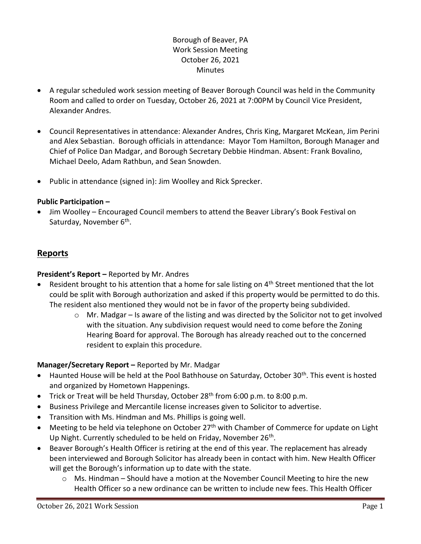# Borough of Beaver, PA Work Session Meeting October 26, 2021 **Minutes**

- A regular scheduled work session meeting of Beaver Borough Council was held in the Community Room and called to order on Tuesday, October 26, 2021 at 7:00PM by Council Vice President, Alexander Andres.
- Council Representatives in attendance: Alexander Andres, Chris King, Margaret McKean, Jim Perini and Alex Sebastian. Borough officials in attendance: Mayor Tom Hamilton, Borough Manager and Chief of Police Dan Madgar, and Borough Secretary Debbie Hindman. Absent: Frank Bovalino, Michael Deelo, Adam Rathbun, and Sean Snowden.
- Public in attendance (signed in): Jim Woolley and Rick Sprecker.

### **Public Participation –**

• Jim Woolley – Encouraged Council members to attend the Beaver Library's Book Festival on Saturday, November 6<sup>th</sup>.

## **Reports**

#### **President's Report –** Reported by Mr. Andres

- Resident brought to his attention that a home for sale listing on 4<sup>th</sup> Street mentioned that the lot could be split with Borough authorization and asked if this property would be permitted to do this. The resident also mentioned they would not be in favor of the property being subdivided.
	- $\circ$  Mr. Madgar Is aware of the listing and was directed by the Solicitor not to get involved with the situation. Any subdivision request would need to come before the Zoning Hearing Board for approval. The Borough has already reached out to the concerned resident to explain this procedure.

### **Manager/Secretary Report –** Reported by Mr. Madgar

- Haunted House will be held at the Pool Bathhouse on Saturday, October 30<sup>th</sup>. This event is hosted and organized by Hometown Happenings.
- Trick or Treat will be held Thursday, October 28<sup>th</sup> from 6:00 p.m. to 8:00 p.m.
- Business Privilege and Mercantile license increases given to Solicitor to advertise.
- Transition with Ms. Hindman and Ms. Phillips is going well.
- Meeting to be held via telephone on October  $27<sup>th</sup>$  with Chamber of Commerce for update on Light Up Night. Currently scheduled to be held on Friday, November 26<sup>th</sup>.
- Beaver Borough's Health Officer is retiring at the end of this year. The replacement has already been interviewed and Borough Solicitor has already been in contact with him. New Health Officer will get the Borough's information up to date with the state.
	- o Ms. Hindman Should have a motion at the November Council Meeting to hire the new Health Officer so a new ordinance can be written to include new fees. This Health Officer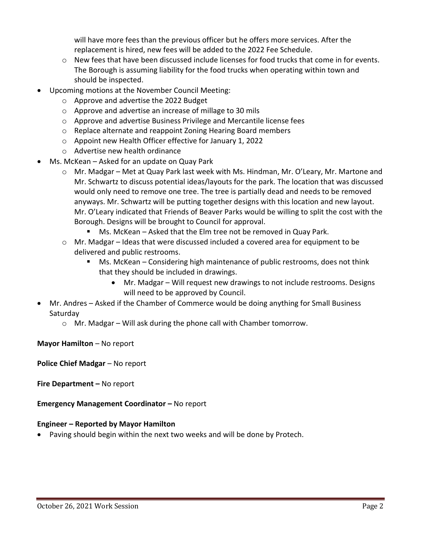will have more fees than the previous officer but he offers more services. After the replacement is hired, new fees will be added to the 2022 Fee Schedule.

- $\circ$  New fees that have been discussed include licenses for food trucks that come in for events. The Borough is assuming liability for the food trucks when operating within town and should be inspected.
- Upcoming motions at the November Council Meeting:
	- o Approve and advertise the 2022 Budget
	- o Approve and advertise an increase of millage to 30 mils
	- o Approve and advertise Business Privilege and Mercantile license fees
	- o Replace alternate and reappoint Zoning Hearing Board members
	- o Appoint new Health Officer effective for January 1, 2022
	- o Advertise new health ordinance
- Ms. McKean Asked for an update on Quay Park
	- o Mr. Madgar Met at Quay Park last week with Ms. Hindman, Mr. O'Leary, Mr. Martone and Mr. Schwartz to discuss potential ideas/layouts for the park. The location that was discussed would only need to remove one tree. The tree is partially dead and needs to be removed anyways. Mr. Schwartz will be putting together designs with this location and new layout. Mr. O'Leary indicated that Friends of Beaver Parks would be willing to split the cost with the Borough. Designs will be brought to Council for approval.
		- Ms. McKean Asked that the Elm tree not be removed in Quay Park.
	- $\circ$  Mr. Madgar Ideas that were discussed included a covered area for equipment to be delivered and public restrooms.
		- Ms. McKean Considering high maintenance of public restrooms, does not think that they should be included in drawings.
			- Mr. Madgar Will request new drawings to not include restrooms. Designs will need to be approved by Council.
- Mr. Andres Asked if the Chamber of Commerce would be doing anything for Small Business Saturday
	- o Mr. Madgar Will ask during the phone call with Chamber tomorrow.

**Mayor Hamilton** – No report

**Police Chief Madgar** – No report

**Fire Department –** No report

**Emergency Management Coordinator - No report** 

### **Engineer – Reported by Mayor Hamilton**

• Paving should begin within the next two weeks and will be done by Protech.